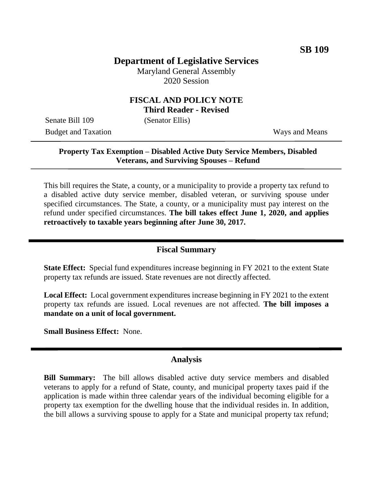# **Department of Legislative Services**

Maryland General Assembly 2020 Session

#### **FISCAL AND POLICY NOTE Third Reader - Revised**

Senate Bill 109 (Senator Ellis)

Budget and Taxation Ways and Means

## **Property Tax Exemption – Disabled Active Duty Service Members, Disabled Veterans, and Surviving Spouses – Refund**

This bill requires the State, a county, or a municipality to provide a property tax refund to a disabled active duty service member, disabled veteran, or surviving spouse under specified circumstances. The State, a county, or a municipality must pay interest on the refund under specified circumstances. **The bill takes effect June 1, 2020, and applies retroactively to taxable years beginning after June 30, 2017.**

### **Fiscal Summary**

**State Effect:** Special fund expenditures increase beginning in FY 2021 to the extent State property tax refunds are issued. State revenues are not directly affected.

**Local Effect:** Local government expenditures increase beginning in FY 2021 to the extent property tax refunds are issued. Local revenues are not affected. **The bill imposes a mandate on a unit of local government.**

**Small Business Effect:** None.

### **Analysis**

**Bill Summary:** The bill allows disabled active duty service members and disabled veterans to apply for a refund of State, county, and municipal property taxes paid if the application is made within three calendar years of the individual becoming eligible for a property tax exemption for the dwelling house that the individual resides in. In addition, the bill allows a surviving spouse to apply for a State and municipal property tax refund;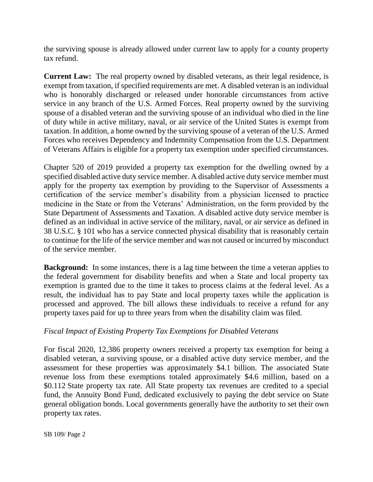the surviving spouse is already allowed under current law to apply for a county property tax refund.

**Current Law:** The real property owned by disabled veterans, as their legal residence, is exempt from taxation, if specified requirements are met. A disabled veteran is an individual who is honorably discharged or released under honorable circumstances from active service in any branch of the U.S. Armed Forces. Real property owned by the surviving spouse of a disabled veteran and the surviving spouse of an individual who died in the line of duty while in active military, naval, or air service of the United States is exempt from taxation. In addition, a home owned by the surviving spouse of a veteran of the U.S. Armed Forces who receives Dependency and Indemnity Compensation from the U.S. Department of Veterans Affairs is eligible for a property tax exemption under specified circumstances.

Chapter 520 of 2019 provided a property tax exemption for the dwelling owned by a specified disabled active duty service member. A disabled active duty service member must apply for the property tax exemption by providing to the Supervisor of Assessments a certification of the service member's disability from a physician licensed to practice medicine in the State or from the Veterans' Administration, on the form provided by the State Department of Assessments and Taxation. A disabled active duty service member is defined as an individual in active service of the military, naval, or air service as defined in 38 U.S.C. § 101 who has a service connected physical disability that is reasonably certain to continue for the life of the service member and was not caused or incurred by misconduct of the service member.

**Background:** In some instances, there is a lag time between the time a veteran applies to the federal government for disability benefits and when a State and local property tax exemption is granted due to the time it takes to process claims at the federal level. As a result, the individual has to pay State and local property taxes while the application is processed and approved. The bill allows these individuals to receive a refund for any property taxes paid for up to three years from when the disability claim was filed.

### *Fiscal Impact of Existing Property Tax Exemptions for Disabled Veterans*

For fiscal 2020, 12,386 property owners received a property tax exemption for being a disabled veteran, a surviving spouse, or a disabled active duty service member, and the assessment for these properties was approximately \$4.1 billion. The associated State revenue loss from these exemptions totaled approximately \$4.6 million, based on a \$0.112 State property tax rate. All State property tax revenues are credited to a special fund, the Annuity Bond Fund, dedicated exclusively to paying the debt service on State general obligation bonds. Local governments generally have the authority to set their own property tax rates.